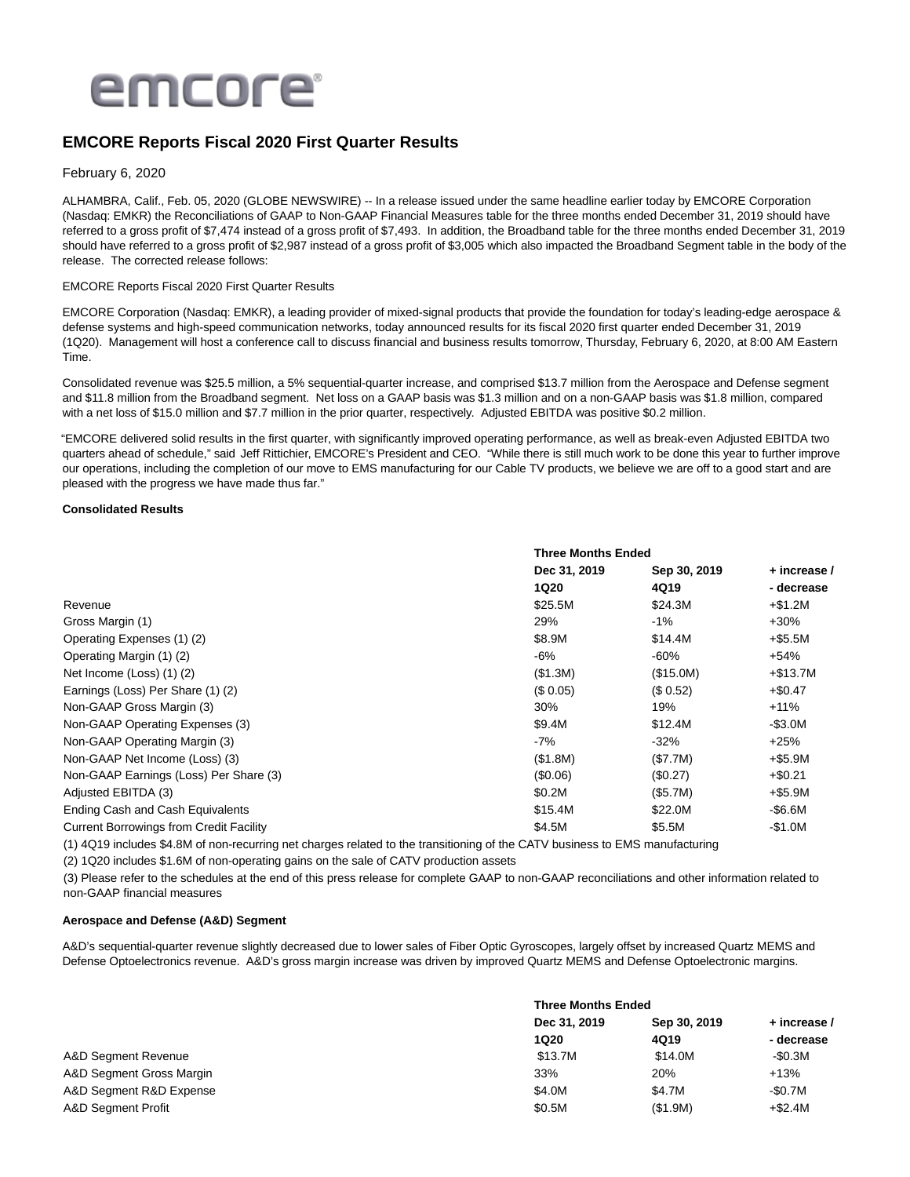

# **EMCORE Reports Fiscal 2020 First Quarter Results**

### February 6, 2020

ALHAMBRA, Calif., Feb. 05, 2020 (GLOBE NEWSWIRE) -- In a release issued under the same headline earlier today by EMCORE Corporation (Nasdaq: EMKR) the Reconciliations of GAAP to Non-GAAP Financial Measures table for the three months ended December 31, 2019 should have referred to a gross profit of \$7,474 instead of a gross profit of \$7,493. In addition, the Broadband table for the three months ended December 31, 2019 should have referred to a gross profit of \$2,987 instead of a gross profit of \$3,005 which also impacted the Broadband Segment table in the body of the release. The corrected release follows:

### EMCORE Reports Fiscal 2020 First Quarter Results

EMCORE Corporation (Nasdaq: EMKR), a leading provider of mixed-signal products that provide the foundation for today's leading-edge aerospace & defense systems and high-speed communication networks, today announced results for its fiscal 2020 first quarter ended December 31, 2019 (1Q20). Management will host a conference call to discuss financial and business results tomorrow, Thursday, February 6, 2020, at 8:00 AM Eastern Time.

Consolidated revenue was \$25.5 million, a 5% sequential-quarter increase, and comprised \$13.7 million from the Aerospace and Defense segment and \$11.8 million from the Broadband segment. Net loss on a GAAP basis was \$1.3 million and on a non-GAAP basis was \$1.8 million, compared with a net loss of \$15.0 million and \$7.7 million in the prior quarter, respectively. Adjusted EBITDA was positive \$0.2 million.

"EMCORE delivered solid results in the first quarter, with significantly improved operating performance, as well as break-even Adjusted EBITDA two quarters ahead of schedule," said Jeff Rittichier, EMCORE's President and CEO. "While there is still much work to be done this year to further improve our operations, including the completion of our move to EMS manufacturing for our Cable TV products, we believe we are off to a good start and are pleased with the progress we have made thus far."

#### **Consolidated Results**

|                                                | <b>Three Months Ended</b> |              |              |
|------------------------------------------------|---------------------------|--------------|--------------|
|                                                | Dec 31, 2019              | Sep 30, 2019 | + increase / |
|                                                | <b>1Q20</b>               | 4Q19         | - decrease   |
| Revenue                                        | \$25.5M                   | \$24.3M      | $+ $1.2M$    |
| Gross Margin (1)                               | 29%                       | $-1\%$       | $+30%$       |
| Operating Expenses (1) (2)                     | \$8.9M                    | \$14.4M      | +\$5.5M      |
| Operating Margin (1) (2)                       | -6%                       | $-60%$       | $+54%$       |
| Net Income (Loss) (1) (2)                      | (\$1.3M)                  | (\$15.0M)    | $+ $13.7M$   |
| Earnings (Loss) Per Share (1) (2)              | (\$0.05)                  | (\$0.52)     | $+$0.47$     |
| Non-GAAP Gross Margin (3)                      | 30%                       | 19%          | $+11%$       |
| Non-GAAP Operating Expenses (3)                | \$9.4M                    | \$12.4M      | $-$ \$3.0M   |
| Non-GAAP Operating Margin (3)                  | -7%                       | $-32%$       | $+25%$       |
| Non-GAAP Net Income (Loss) (3)                 | (\$1.8M)                  | (\$7.7M)     | $+$ \$5.9M   |
| Non-GAAP Earnings (Loss) Per Share (3)         | (\$0.06)                  | (\$0.27)     | $+ $0.21$    |
| Adjusted EBITDA (3)                            | \$0.2M                    | (\$5.7M)     | $+$ \$5.9M   |
| Ending Cash and Cash Equivalents               | \$15.4M                   | \$22.0M      | -\$6.6M      |
| <b>Current Borrowings from Credit Facility</b> | \$4.5M                    | \$5.5M       | $-$1.0M$     |
|                                                |                           |              |              |

(1) 4Q19 includes \$4.8M of non-recurring net charges related to the transitioning of the CATV business to EMS manufacturing

(2) 1Q20 includes \$1.6M of non-operating gains on the sale of CATV production assets

(3) Please refer to the schedules at the end of this press release for complete GAAP to non-GAAP reconciliations and other information related to non-GAAP financial measures

#### **Aerospace and Defense (A&D) Segment**

A&D's sequential-quarter revenue slightly decreased due to lower sales of Fiber Optic Gyroscopes, largely offset by increased Quartz MEMS and Defense Optoelectronics revenue. A&D's gross margin increase was driven by improved Quartz MEMS and Defense Optoelectronic margins.

|                          | <b>Three Months Ended</b> |              |              |
|--------------------------|---------------------------|--------------|--------------|
|                          | Dec 31, 2019              | Sep 30, 2019 | + increase / |
|                          | <b>1Q20</b>               | 4Q19         | - decrease   |
| A&D Segment Revenue      | \$13.7M                   | \$14.0M      | -\$0.3M      |
| A&D Segment Gross Margin | 33%                       | 20%          | $+13%$       |
| A&D Segment R&D Expense  | \$4.0M                    | \$4.7M       | -\$0.7M      |
| A&D Segment Profit       | \$0.5M                    | (\$1.9M)     | $+ $2.4M$    |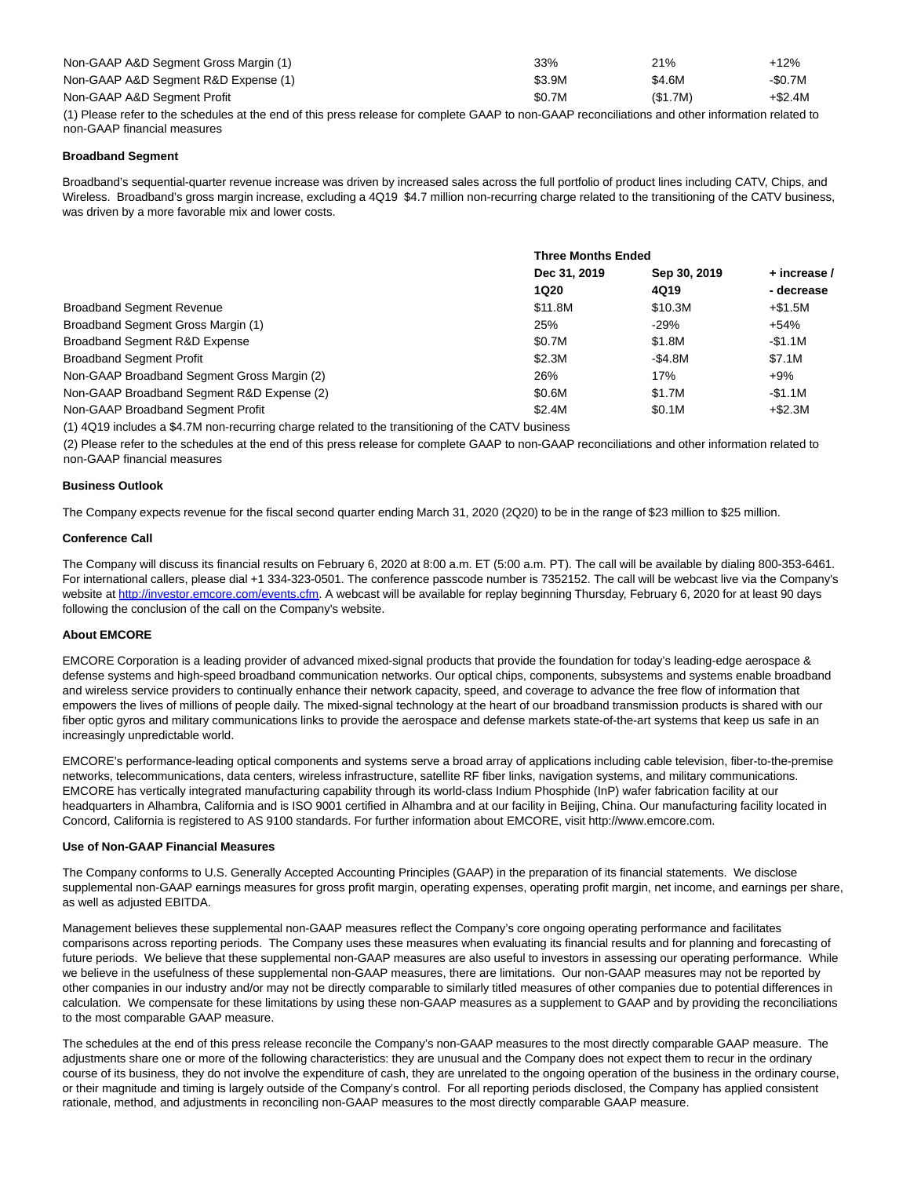| Non-GAAP A&D Segment Gross Margin (1) | 33%           | 21%     | $+12%$  |
|---------------------------------------|---------------|---------|---------|
| Non-GAAP A&D Segment R&D Expense (1)  | \$3.9M        | \$4.6M  | -\$0.7M |
| Non-GAAP A&D Segment Profit           | \$0.7M        | (S1.7M) | +\$2.4M |
| $\cdots$                              | $\sim$ $\sim$ |         |         |

(1) Please refer to the schedules at the end of this press release for complete GAAP to non-GAAP reconciliations and other information related to non-GAAP financial measures

#### **Broadband Segment**

Broadband's sequential-quarter revenue increase was driven by increased sales across the full portfolio of product lines including CATV, Chips, and Wireless. Broadband's gross margin increase, excluding a 4Q19 \$4.7 million non-recurring charge related to the transitioning of the CATV business, was driven by a more favorable mix and lower costs.

|                                             | <b>Three Months Ended</b> |              |              |
|---------------------------------------------|---------------------------|--------------|--------------|
|                                             | Dec 31, 2019              | Sep 30, 2019 | + increase / |
|                                             | <b>1Q20</b>               | 4Q19         | - decrease   |
| <b>Broadband Segment Revenue</b>            | \$11.8M                   | \$10.3M      | +\$1.5M      |
| Broadband Segment Gross Margin (1)          | 25%                       | $-29%$       | $+54%$       |
| Broadband Segment R&D Expense               | \$0.7M                    | \$1.8M       | -\$1.1M      |
| <b>Broadband Segment Profit</b>             | \$2.3M                    | -\$4.8M      | \$7.1M       |
| Non-GAAP Broadband Segment Gross Margin (2) | 26%                       | 17%          | $+9\%$       |
| Non-GAAP Broadband Segment R&D Expense (2)  | \$0.6M                    | \$1.7M       | -\$1.1M      |
| Non-GAAP Broadband Segment Profit           | \$2.4M                    | \$0.1M       | $+ $2.3M$    |
|                                             |                           |              |              |

(1) 4Q19 includes a \$4.7M non-recurring charge related to the transitioning of the CATV business

(2) Please refer to the schedules at the end of this press release for complete GAAP to non-GAAP reconciliations and other information related to non-GAAP financial measures

#### **Business Outlook**

The Company expects revenue for the fiscal second quarter ending March 31, 2020 (2Q20) to be in the range of \$23 million to \$25 million.

#### **Conference Call**

The Company will discuss its financial results on February 6, 2020 at 8:00 a.m. ET (5:00 a.m. PT). The call will be available by dialing 800-353-6461. For international callers, please dial +1 334-323-0501. The conference passcode number is 7352152. The call will be webcast live via the Company's website at http://investor.emcore.com/events.cfm.</u> A webcast will be available for replay beginning Thursday, February 6, 2020 for at least 90 days following the conclusion of the call on the Company's website.

#### **About EMCORE**

EMCORE Corporation is a leading provider of advanced mixed-signal products that provide the foundation for today's leading-edge aerospace & defense systems and high-speed broadband communication networks. Our optical chips, components, subsystems and systems enable broadband and wireless service providers to continually enhance their network capacity, speed, and coverage to advance the free flow of information that empowers the lives of millions of people daily. The mixed-signal technology at the heart of our broadband transmission products is shared with our fiber optic gyros and military communications links to provide the aerospace and defense markets state-of-the-art systems that keep us safe in an increasingly unpredictable world.

EMCORE's performance-leading optical components and systems serve a broad array of applications including cable television, fiber-to-the-premise networks, telecommunications, data centers, wireless infrastructure, satellite RF fiber links, navigation systems, and military communications. EMCORE has vertically integrated manufacturing capability through its world-class Indium Phosphide (InP) wafer fabrication facility at our headquarters in Alhambra, California and is ISO 9001 certified in Alhambra and at our facility in Beijing, China. Our manufacturing facility located in Concord, California is registered to AS 9100 standards. For further information about EMCORE, visit http://www.emcore.com.

#### **Use of Non-GAAP Financial Measures**

The Company conforms to U.S. Generally Accepted Accounting Principles (GAAP) in the preparation of its financial statements. We disclose supplemental non-GAAP earnings measures for gross profit margin, operating expenses, operating profit margin, net income, and earnings per share, as well as adjusted EBITDA.

Management believes these supplemental non-GAAP measures reflect the Company's core ongoing operating performance and facilitates comparisons across reporting periods. The Company uses these measures when evaluating its financial results and for planning and forecasting of future periods. We believe that these supplemental non-GAAP measures are also useful to investors in assessing our operating performance. While we believe in the usefulness of these supplemental non-GAAP measures, there are limitations. Our non-GAAP measures may not be reported by other companies in our industry and/or may not be directly comparable to similarly titled measures of other companies due to potential differences in calculation. We compensate for these limitations by using these non-GAAP measures as a supplement to GAAP and by providing the reconciliations to the most comparable GAAP measure.

The schedules at the end of this press release reconcile the Company's non-GAAP measures to the most directly comparable GAAP measure. The adjustments share one or more of the following characteristics: they are unusual and the Company does not expect them to recur in the ordinary course of its business, they do not involve the expenditure of cash, they are unrelated to the ongoing operation of the business in the ordinary course, or their magnitude and timing is largely outside of the Company's control. For all reporting periods disclosed, the Company has applied consistent rationale, method, and adjustments in reconciling non-GAAP measures to the most directly comparable GAAP measure.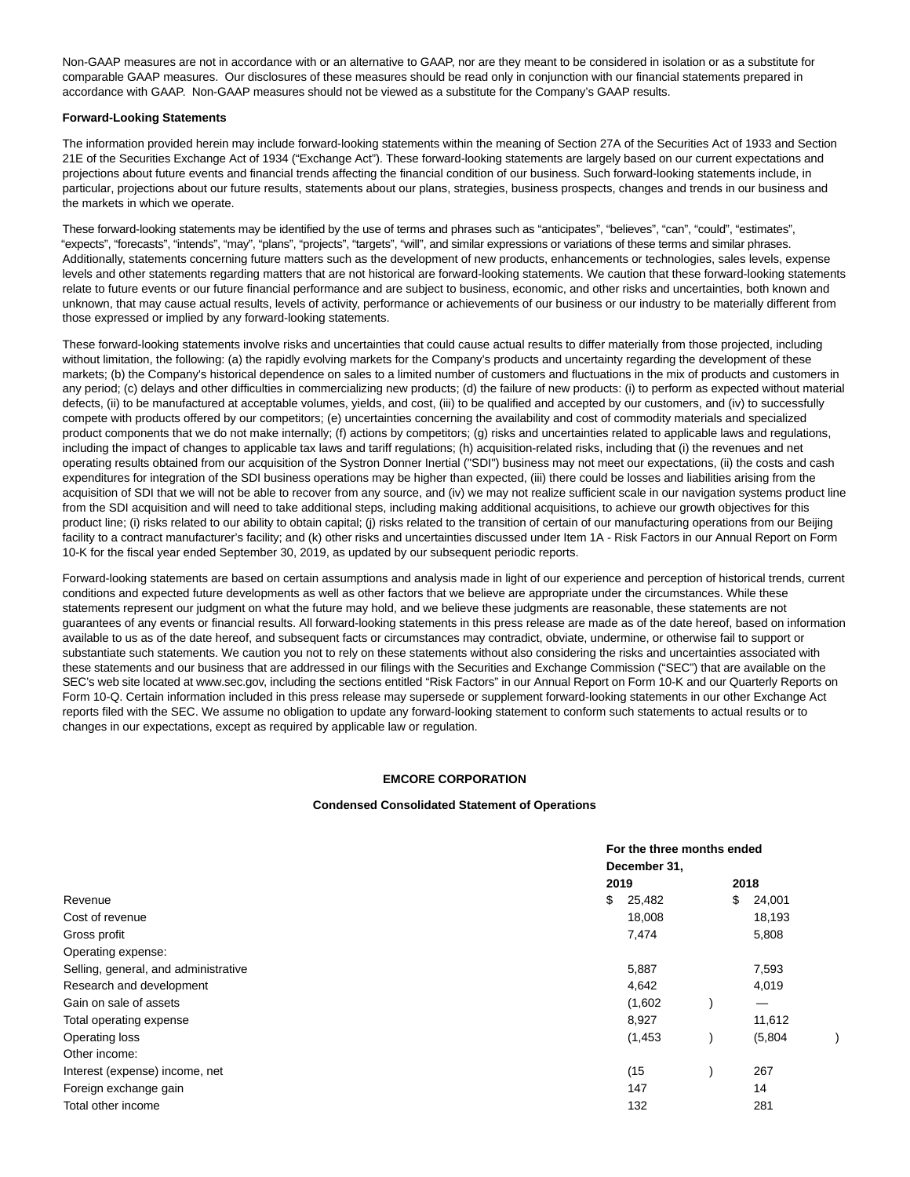Non-GAAP measures are not in accordance with or an alternative to GAAP, nor are they meant to be considered in isolation or as a substitute for comparable GAAP measures. Our disclosures of these measures should be read only in conjunction with our financial statements prepared in accordance with GAAP. Non-GAAP measures should not be viewed as a substitute for the Company's GAAP results.

#### **Forward-Looking Statements**

The information provided herein may include forward-looking statements within the meaning of Section 27A of the Securities Act of 1933 and Section 21E of the Securities Exchange Act of 1934 ("Exchange Act"). These forward-looking statements are largely based on our current expectations and projections about future events and financial trends affecting the financial condition of our business. Such forward-looking statements include, in particular, projections about our future results, statements about our plans, strategies, business prospects, changes and trends in our business and the markets in which we operate.

These forward-looking statements may be identified by the use of terms and phrases such as "anticipates", "believes", "can", "could", "estimates", "expects", "forecasts", "intends", "may", "plans", "projects", "targets", "will", and similar expressions or variations of these terms and similar phrases. Additionally, statements concerning future matters such as the development of new products, enhancements or technologies, sales levels, expense levels and other statements regarding matters that are not historical are forward-looking statements. We caution that these forward-looking statements relate to future events or our future financial performance and are subject to business, economic, and other risks and uncertainties, both known and unknown, that may cause actual results, levels of activity, performance or achievements of our business or our industry to be materially different from those expressed or implied by any forward-looking statements.

These forward-looking statements involve risks and uncertainties that could cause actual results to differ materially from those projected, including without limitation, the following: (a) the rapidly evolving markets for the Company's products and uncertainty regarding the development of these markets; (b) the Company's historical dependence on sales to a limited number of customers and fluctuations in the mix of products and customers in any period; (c) delays and other difficulties in commercializing new products; (d) the failure of new products: (i) to perform as expected without material defects, (ii) to be manufactured at acceptable volumes, yields, and cost, (iii) to be qualified and accepted by our customers, and (iv) to successfully compete with products offered by our competitors; (e) uncertainties concerning the availability and cost of commodity materials and specialized product components that we do not make internally; (f) actions by competitors; (g) risks and uncertainties related to applicable laws and regulations, including the impact of changes to applicable tax laws and tariff regulations; (h) acquisition-related risks, including that (i) the revenues and net operating results obtained from our acquisition of the Systron Donner Inertial ("SDI") business may not meet our expectations, (ii) the costs and cash expenditures for integration of the SDI business operations may be higher than expected, (iii) there could be losses and liabilities arising from the acquisition of SDI that we will not be able to recover from any source, and (iv) we may not realize sufficient scale in our navigation systems product line from the SDI acquisition and will need to take additional steps, including making additional acquisitions, to achieve our growth objectives for this product line; (i) risks related to our ability to obtain capital; (j) risks related to the transition of certain of our manufacturing operations from our Beijing facility to a contract manufacturer's facility; and (k) other risks and uncertainties discussed under Item 1A - Risk Factors in our Annual Report on Form 10-K for the fiscal year ended September 30, 2019, as updated by our subsequent periodic reports.

Forward-looking statements are based on certain assumptions and analysis made in light of our experience and perception of historical trends, current conditions and expected future developments as well as other factors that we believe are appropriate under the circumstances. While these statements represent our judgment on what the future may hold, and we believe these judgments are reasonable, these statements are not guarantees of any events or financial results. All forward-looking statements in this press release are made as of the date hereof, based on information available to us as of the date hereof, and subsequent facts or circumstances may contradict, obviate, undermine, or otherwise fail to support or substantiate such statements. We caution you not to rely on these statements without also considering the risks and uncertainties associated with these statements and our business that are addressed in our filings with the Securities and Exchange Commission ("SEC") that are available on the SEC's web site located at www.sec.gov, including the sections entitled "Risk Factors" in our Annual Report on Form 10-K and our Quarterly Reports on Form 10-Q. Certain information included in this press release may supersede or supplement forward-looking statements in our other Exchange Act reports filed with the SEC. We assume no obligation to update any forward-looking statement to conform such statements to actual results or to changes in our expectations, except as required by applicable law or regulation.

### **EMCORE CORPORATION**

#### **Condensed Consolidated Statement of Operations**

|                                      |              | For the three months ended |              |  |
|--------------------------------------|--------------|----------------------------|--------------|--|
|                                      | December 31, |                            |              |  |
|                                      | 2019         |                            | 2018         |  |
| Revenue                              | \$<br>25,482 |                            | \$<br>24,001 |  |
| Cost of revenue                      | 18,008       |                            | 18,193       |  |
| Gross profit                         | 7,474        |                            | 5,808        |  |
| Operating expense:                   |              |                            |              |  |
| Selling, general, and administrative | 5,887        |                            | 7,593        |  |
| Research and development             | 4,642        |                            | 4,019        |  |
| Gain on sale of assets               | (1,602)      |                            |              |  |
| Total operating expense              | 8,927        |                            | 11,612       |  |
| Operating loss                       | (1, 453)     |                            | (5,804)      |  |
| Other income:                        |              |                            |              |  |
| Interest (expense) income, net       | (15)         |                            | 267          |  |
| Foreign exchange gain                | 147          |                            | 14           |  |
| Total other income                   | 132          |                            | 281          |  |
|                                      |              |                            |              |  |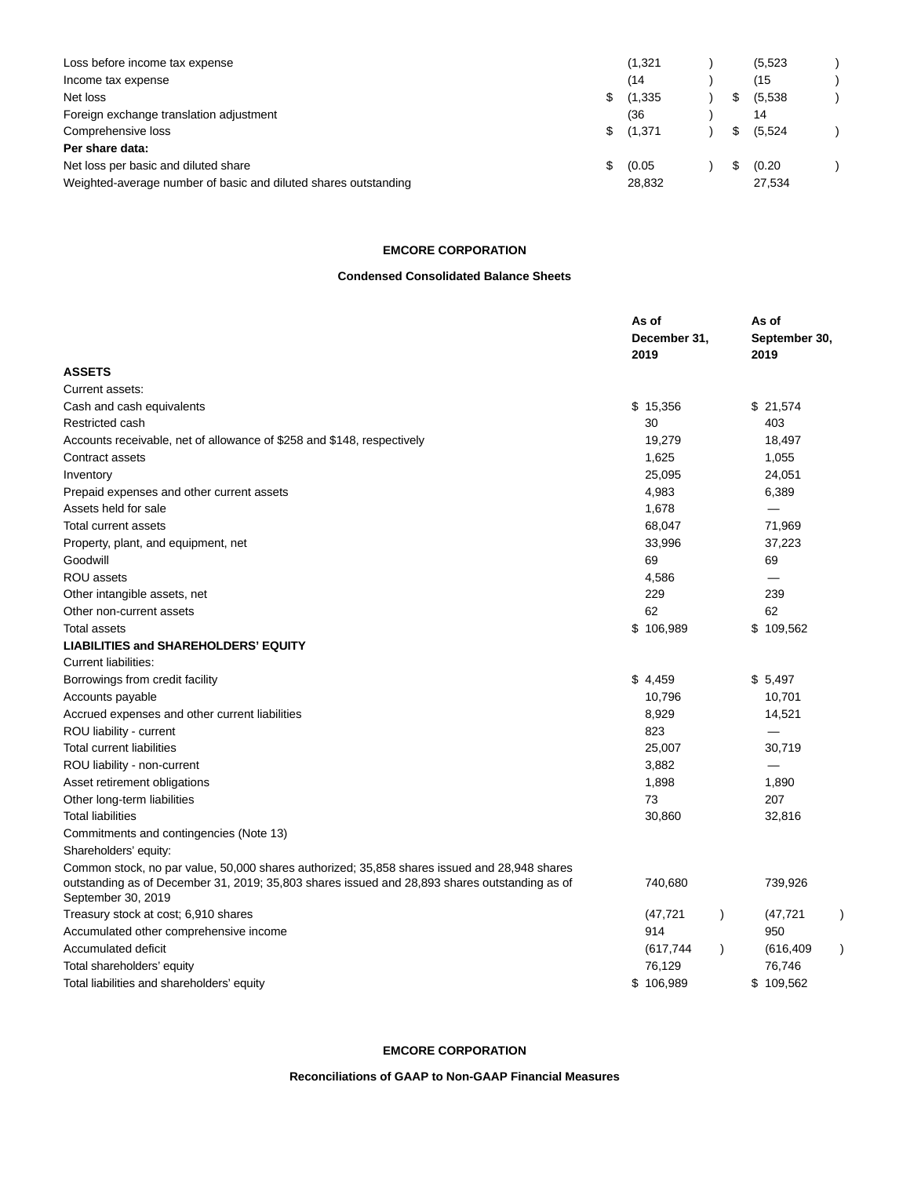| Loss before income tax expense                                  |     | (1, 321) |  | (5, 523) |  |
|-----------------------------------------------------------------|-----|----------|--|----------|--|
| Income tax expense                                              |     | (14)     |  | (15      |  |
| Net loss                                                        | S.  | (1, 335) |  | (5.538)  |  |
| Foreign exchange translation adjustment                         |     | (36      |  | 14       |  |
| Comprehensive loss                                              | \$. | (1,371   |  | (5,524)  |  |
| Per share data:                                                 |     |          |  |          |  |
| Net loss per basic and diluted share                            | S.  | (0.05)   |  | (0.20)   |  |
| Weighted-average number of basic and diluted shares outstanding |     | 28,832   |  | 27,534   |  |

## **EMCORE CORPORATION**

### **Condensed Consolidated Balance Sheets**

|                                                                                                                                                                                                                     | As of<br>December 31,<br>2019 | As of<br>September 30,<br>2019 |
|---------------------------------------------------------------------------------------------------------------------------------------------------------------------------------------------------------------------|-------------------------------|--------------------------------|
| <b>ASSETS</b>                                                                                                                                                                                                       |                               |                                |
| Current assets:                                                                                                                                                                                                     |                               |                                |
| Cash and cash equivalents                                                                                                                                                                                           | \$15,356                      | \$21,574                       |
| Restricted cash                                                                                                                                                                                                     | 30                            | 403                            |
| Accounts receivable, net of allowance of \$258 and \$148, respectively                                                                                                                                              | 19,279                        | 18,497                         |
| Contract assets                                                                                                                                                                                                     | 1,625                         | 1,055                          |
| Inventory                                                                                                                                                                                                           | 25,095                        | 24,051                         |
| Prepaid expenses and other current assets                                                                                                                                                                           | 4,983                         | 6,389                          |
| Assets held for sale                                                                                                                                                                                                | 1,678                         |                                |
| Total current assets                                                                                                                                                                                                | 68,047                        | 71,969                         |
| Property, plant, and equipment, net                                                                                                                                                                                 | 33,996                        | 37,223                         |
| Goodwill                                                                                                                                                                                                            | 69                            | 69                             |
| ROU assets                                                                                                                                                                                                          | 4,586                         |                                |
| Other intangible assets, net                                                                                                                                                                                        | 229                           | 239                            |
| Other non-current assets                                                                                                                                                                                            | 62                            | 62                             |
| <b>Total assets</b>                                                                                                                                                                                                 | \$106,989                     | \$109,562                      |
| <b>LIABILITIES and SHAREHOLDERS' EQUITY</b>                                                                                                                                                                         |                               |                                |
| Current liabilities:                                                                                                                                                                                                |                               |                                |
| Borrowings from credit facility                                                                                                                                                                                     | \$4,459                       | \$5,497                        |
| Accounts payable                                                                                                                                                                                                    | 10,796                        | 10,701                         |
| Accrued expenses and other current liabilities                                                                                                                                                                      | 8,929                         | 14,521                         |
| ROU liability - current                                                                                                                                                                                             | 823                           |                                |
| <b>Total current liabilities</b>                                                                                                                                                                                    | 25,007                        | 30,719                         |
| ROU liability - non-current                                                                                                                                                                                         | 3,882                         |                                |
| Asset retirement obligations                                                                                                                                                                                        | 1,898                         | 1,890                          |
| Other long-term liabilities                                                                                                                                                                                         | 73                            | 207                            |
| <b>Total liabilities</b>                                                                                                                                                                                            | 30,860                        | 32,816                         |
| Commitments and contingencies (Note 13)                                                                                                                                                                             |                               |                                |
| Shareholders' equity:                                                                                                                                                                                               |                               |                                |
| Common stock, no par value, 50,000 shares authorized; 35,858 shares issued and 28,948 shares<br>outstanding as of December 31, 2019; 35,803 shares issued and 28,893 shares outstanding as of<br>September 30, 2019 | 740,680                       | 739,926                        |
| Treasury stock at cost; 6,910 shares                                                                                                                                                                                | (47, 721)<br>$\lambda$        | (47, 721)                      |
| Accumulated other comprehensive income                                                                                                                                                                              | 914                           | 950                            |
| <b>Accumulated deficit</b>                                                                                                                                                                                          | (617, 744)<br>$\lambda$       | (616, 409)                     |
| Total shareholders' equity                                                                                                                                                                                          | 76,129                        | 76,746                         |
| Total liabilities and shareholders' equity                                                                                                                                                                          | \$106,989                     | \$109,562                      |

# **EMCORE CORPORATION**

**Reconciliations of GAAP to Non-GAAP Financial Measures**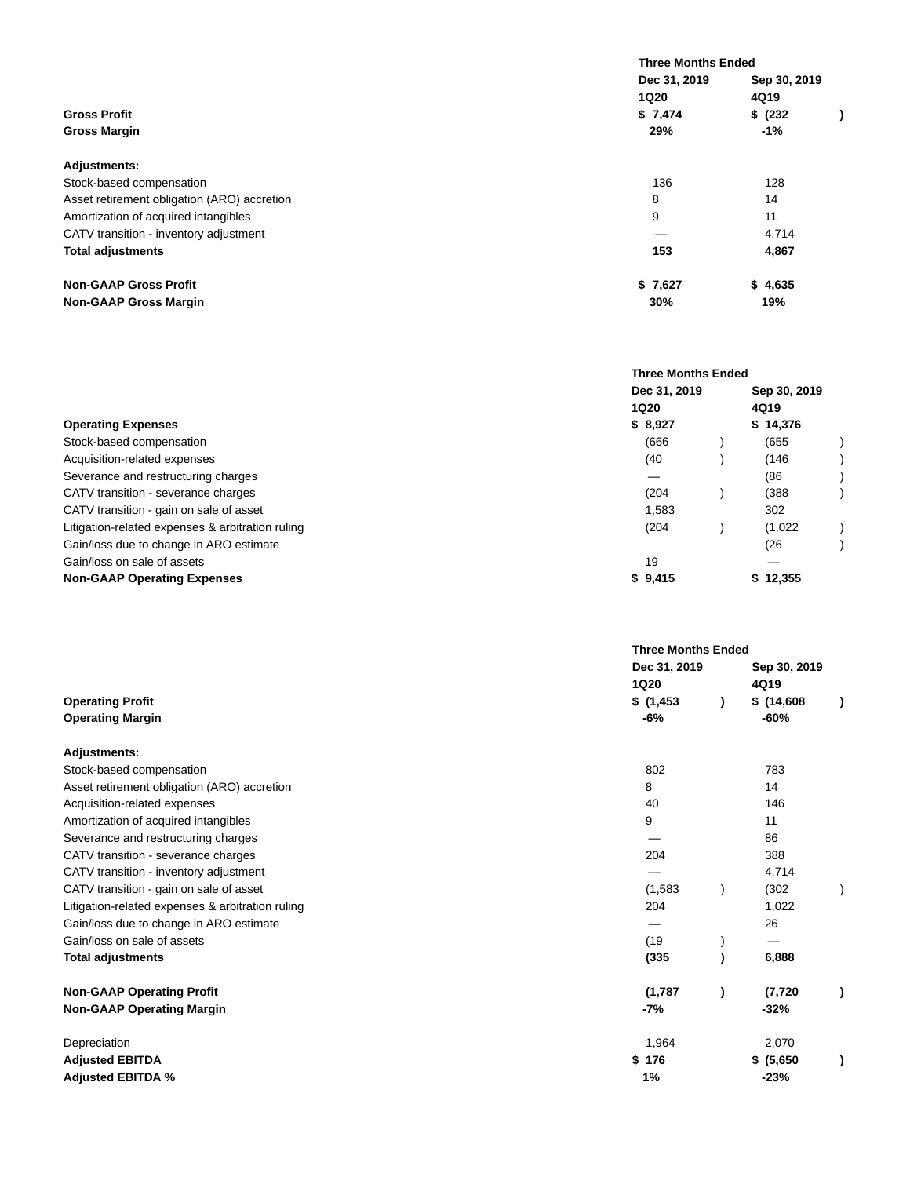|                                             | <b>Three Months Ended</b> |              |  |
|---------------------------------------------|---------------------------|--------------|--|
|                                             | Dec 31, 2019              | Sep 30, 2019 |  |
|                                             | <b>1Q20</b>               | 4Q19         |  |
| <b>Gross Profit</b>                         | \$7,474                   | \$ (232)     |  |
| <b>Gross Margin</b>                         | 29%                       | $-1\%$       |  |
| <b>Adjustments:</b>                         |                           |              |  |
| Stock-based compensation                    | 136                       | 128          |  |
| Asset retirement obligation (ARO) accretion | 8                         | 14           |  |
| Amortization of acquired intangibles        | 9                         | 11           |  |
| CATV transition - inventory adjustment      |                           | 4,714        |  |
| <b>Total adjustments</b>                    | 153                       | 4,867        |  |
| <b>Non-GAAP Gross Profit</b>                | \$7,627                   | \$4,635      |  |
| <b>Non-GAAP Gross Margin</b>                | 30%                       | 19%          |  |

|                                                  | <b>Three Months Ended</b> |  |              |  |
|--------------------------------------------------|---------------------------|--|--------------|--|
|                                                  | Dec 31, 2019              |  | Sep 30, 2019 |  |
|                                                  | <b>1Q20</b>               |  | 4Q19         |  |
| <b>Operating Expenses</b>                        | \$8,927                   |  | \$14,376     |  |
| Stock-based compensation                         | (666)                     |  | (655)        |  |
| Acquisition-related expenses                     | (40)                      |  | (146)        |  |
| Severance and restructuring charges              | –                         |  | (86          |  |
| CATV transition - severance charges              | (204)                     |  | (388         |  |
| CATV transition - gain on sale of asset          | 1,583                     |  | 302          |  |
| Litigation-related expenses & arbitration ruling | (204)                     |  | (1,022)      |  |
| Gain/loss due to change in ARO estimate          |                           |  | (26          |  |
| Gain/loss on sale of assets                      | 19                        |  |              |  |
| <b>Non-GAAP Operating Expenses</b>               | \$9,415                   |  | \$12,355     |  |

|                                                  | <b>Three Months Ended</b> |                      |  |
|--------------------------------------------------|---------------------------|----------------------|--|
|                                                  | Dec 31, 2019<br>1Q20      | Sep 30, 2019<br>4Q19 |  |
| <b>Operating Profit</b>                          | \$(1,453)                 | \$(14,608)           |  |
| <b>Operating Margin</b>                          | -6%                       | $-60%$               |  |
| <b>Adjustments:</b>                              |                           |                      |  |
| Stock-based compensation                         | 802                       | 783                  |  |
| Asset retirement obligation (ARO) accretion      | 8                         | 14                   |  |
| Acquisition-related expenses                     | 40                        | 146                  |  |
| Amortization of acquired intangibles             | 9                         | 11                   |  |
| Severance and restructuring charges              |                           | 86                   |  |
| CATV transition - severance charges              | 204                       | 388                  |  |
| CATV transition - inventory adjustment           |                           | 4,714                |  |
| CATV transition - gain on sale of asset          | (1,583)                   | (302)                |  |
| Litigation-related expenses & arbitration ruling | 204                       | 1,022                |  |
| Gain/loss due to change in ARO estimate          |                           | 26                   |  |
| Gain/loss on sale of assets                      | (19)                      |                      |  |
| <b>Total adjustments</b>                         | (335)                     | 6,888                |  |
| <b>Non-GAAP Operating Profit</b>                 | (1,787)                   | (7, 720)             |  |
| <b>Non-GAAP Operating Margin</b>                 | -7%                       | $-32%$               |  |
| Depreciation                                     | 1,964                     | 2,070                |  |
| <b>Adjusted EBITDA</b>                           | \$176                     | \$ (5,650)           |  |
| <b>Adjusted EBITDA %</b>                         | 1%                        | $-23%$               |  |